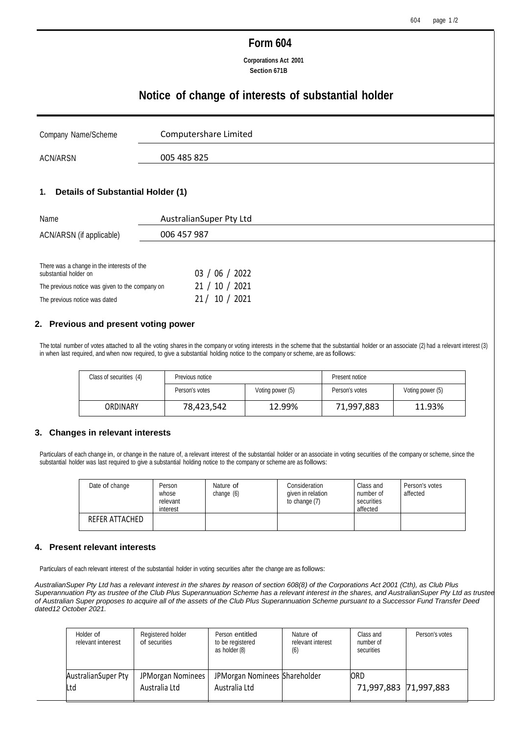# **Form 604**

**Corporations Act 2001 Section 671B**

# **Notice of change of interests of substantial holder**

| Company Name/Scheme | Computershare Limited |
|---------------------|-----------------------|
| ACN/ARSN            | 005 485 825           |

#### **1. Details of Substantial Holder (1)**

| Name                                                                | AustralianSuper Pty Ltd |
|---------------------------------------------------------------------|-------------------------|
| ACN/ARSN (if applicable)                                            | 006 457 987             |
|                                                                     |                         |
| There was a change in the interests of the<br>substantial holder on | 03 / 06 / 2022          |
| The previous notice was given to the company on                     | 10 / 2021<br>21 /       |

#### **2. Previous and present voting power**

The previous notice was dated 21 / 10 / 2021

The total number of votes attached to all the voting shares in the company or voting interests in the scheme that the substantial holder or an associate (2) had a relevant interest (3) in when last required, and when now required, to give a substantial holding notice to the company or scheme, are as follows:

| Class of securities (4) | Previous notice |                  | Present notice |                  |
|-------------------------|-----------------|------------------|----------------|------------------|
|                         | Person's votes  | Voting power (5) | Person's votes | Voting power (5) |
| ORDINARY                | 78,423,542      | 12.99%           | 71,997,883     | 11.93%           |

#### **3. Changes in relevant interests**

Particulars of each change in, or change in the nature of, a relevant interest of the substantial holder or an associate in voting securities of the company or scheme, since the substantial holder was last required to give a substantial holding notice to the company or scheme are as follows:

| Date of change | Person<br>whose<br>relevant<br>interest | Nature of<br>change $(6)$ | Consideration<br>given in relation<br>to change (7) | Class and<br>number of<br>securities<br>affected | Person's votes<br>affected |
|----------------|-----------------------------------------|---------------------------|-----------------------------------------------------|--------------------------------------------------|----------------------------|
| REFER ATTACHED |                                         |                           |                                                     |                                                  |                            |

#### **4. Present relevant interests**

Particulars of each relevant interest of the substantial holder in voting securities after the change are as follows:

*AustralianSuper Pty Ltd has a relevant interest in the shares by reason of section 608(8) of the Corporations Act 2001 (Cth), as Club Plus Superannuation Pty as trustee of the Club Plus Superannuation Scheme has a relevant interest in the shares, and AustralianSuper Pty Ltd as trustee of Australian Super proposes to acquire all of the assets of the Club Plus Superannuation Scheme pursuant to a Successor Fund Transfer Deed dated12 October 2021.*

| Holder of<br>relevant interest | Registered holder<br>of securities | Person entitled<br>to be registered<br>as holder (8) | Nature of<br>relevant interest<br>(6) | Class and<br>number of<br>securities | Person's votes |
|--------------------------------|------------------------------------|------------------------------------------------------|---------------------------------------|--------------------------------------|----------------|
| Australian Super Pty<br>Ltd    | JPMorgan Nominees<br>Australia Ltd | JPMorgan Nominees Shareholder<br>Australia Ltd       |                                       | <b>ORD</b><br>71,997,883 71,997,883  |                |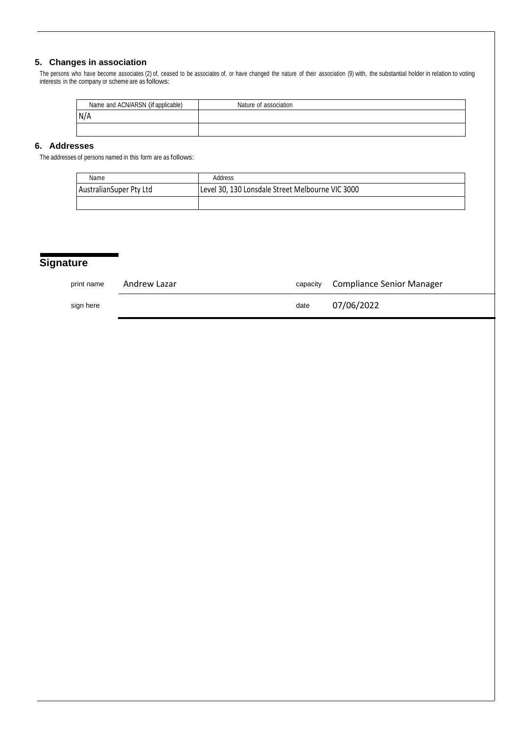### **5. Changes in association**

The persons who have become associates (2) of, ceased to be associates of, or have changed the nature of their association (9) with, the substantial holder in relation to voting interests in the company or scheme are as follows:

| Name and ACN/ARSN (if applicable) | Nature of association |
|-----------------------------------|-----------------------|
| N/A                               |                       |
|                                   |                       |

## **6. Addresses**

The addresses of persons named in this form are as follows:

| Name                    | Address                                          |
|-------------------------|--------------------------------------------------|
| AustralianSuper Pty Ltd | Level 30, 130 Lonsdale Street Melbourne VIC 3000 |
|                         |                                                  |

# **Signature**

| print name | Andrew Lazar | capacity | Compliance Senior Manager |
|------------|--------------|----------|---------------------------|
| sign here  |              | date     | 07/06/2022                |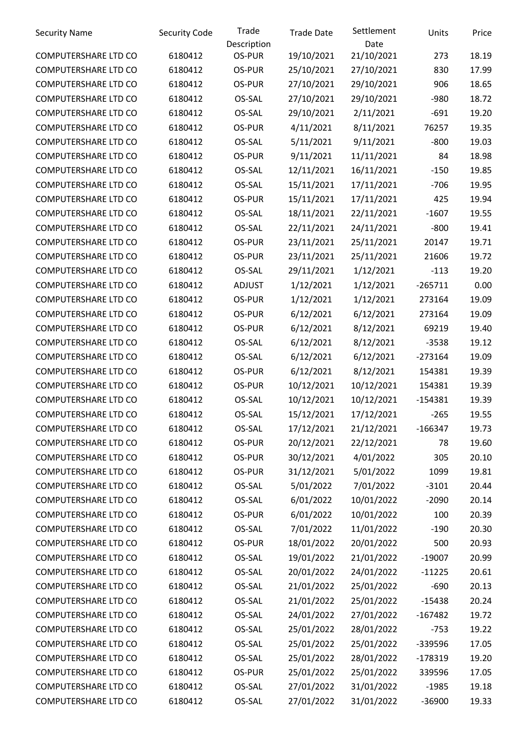| <b>Security Name</b>        | <b>Security Code</b> | Trade<br>Description | <b>Trade Date</b> | Settlement<br>Date | Units     | Price |
|-----------------------------|----------------------|----------------------|-------------------|--------------------|-----------|-------|
| COMPUTERSHARE LTD CO        | 6180412              | OS-PUR               | 19/10/2021        | 21/10/2021         | 273       | 18.19 |
| COMPUTERSHARE LTD CO        | 6180412              | OS-PUR               | 25/10/2021        | 27/10/2021         | 830       | 17.99 |
| COMPUTERSHARE LTD CO        | 6180412              | OS-PUR               | 27/10/2021        | 29/10/2021         | 906       | 18.65 |
| COMPUTERSHARE LTD CO        | 6180412              | OS-SAL               | 27/10/2021        | 29/10/2021         | $-980$    | 18.72 |
| COMPUTERSHARE LTD CO        | 6180412              | OS-SAL               | 29/10/2021        | 2/11/2021          | $-691$    | 19.20 |
| COMPUTERSHARE LTD CO        | 6180412              | OS-PUR               | 4/11/2021         | 8/11/2021          | 76257     | 19.35 |
| COMPUTERSHARE LTD CO        | 6180412              | OS-SAL               | 5/11/2021         | 9/11/2021          | $-800$    | 19.03 |
| COMPUTERSHARE LTD CO        | 6180412              | OS-PUR               | 9/11/2021         | 11/11/2021         | 84        | 18.98 |
| COMPUTERSHARE LTD CO        | 6180412              | OS-SAL               | 12/11/2021        | 16/11/2021         | $-150$    | 19.85 |
| COMPUTERSHARE LTD CO        | 6180412              | OS-SAL               | 15/11/2021        | 17/11/2021         | $-706$    | 19.95 |
| COMPUTERSHARE LTD CO        | 6180412              | OS-PUR               | 15/11/2021        | 17/11/2021         | 425       | 19.94 |
| COMPUTERSHARE LTD CO        | 6180412              | OS-SAL               | 18/11/2021        | 22/11/2021         | $-1607$   | 19.55 |
| COMPUTERSHARE LTD CO        | 6180412              | OS-SAL               | 22/11/2021        | 24/11/2021         | $-800$    | 19.41 |
| COMPUTERSHARE LTD CO        | 6180412              | OS-PUR               | 23/11/2021        | 25/11/2021         | 20147     | 19.71 |
| COMPUTERSHARE LTD CO        | 6180412              | OS-PUR               | 23/11/2021        | 25/11/2021         | 21606     | 19.72 |
| COMPUTERSHARE LTD CO        | 6180412              | OS-SAL               | 29/11/2021        | 1/12/2021          | $-113$    | 19.20 |
| COMPUTERSHARE LTD CO        | 6180412              | <b>ADJUST</b>        | 1/12/2021         | 1/12/2021          | $-265711$ | 0.00  |
| COMPUTERSHARE LTD CO        | 6180412              | OS-PUR               | 1/12/2021         | 1/12/2021          | 273164    | 19.09 |
| COMPUTERSHARE LTD CO        | 6180412              | OS-PUR               | 6/12/2021         | 6/12/2021          | 273164    | 19.09 |
| COMPUTERSHARE LTD CO        | 6180412              | OS-PUR               | 6/12/2021         | 8/12/2021          | 69219     | 19.40 |
| COMPUTERSHARE LTD CO        | 6180412              | OS-SAL               | 6/12/2021         | 8/12/2021          | $-3538$   | 19.12 |
| COMPUTERSHARE LTD CO        | 6180412              | OS-SAL               | 6/12/2021         | 6/12/2021          | $-273164$ | 19.09 |
| COMPUTERSHARE LTD CO        | 6180412              | OS-PUR               | 6/12/2021         | 8/12/2021          | 154381    | 19.39 |
| COMPUTERSHARE LTD CO        | 6180412              | OS-PUR               | 10/12/2021        | 10/12/2021         | 154381    | 19.39 |
| COMPUTERSHARE LTD CO        | 6180412              | OS-SAL               | 10/12/2021        | 10/12/2021         | $-154381$ | 19.39 |
| COMPUTERSHARE LTD CO        | 6180412              | OS-SAL               | 15/12/2021        | 17/12/2021         | $-265$    | 19.55 |
| COMPUTERSHARE LTD CO        | 6180412              | OS-SAL               | 17/12/2021        | 21/12/2021         | $-166347$ | 19.73 |
| COMPUTERSHARE LTD CO        | 6180412              | OS-PUR               | 20/12/2021        | 22/12/2021         | 78        | 19.60 |
| COMPUTERSHARE LTD CO        | 6180412              | OS-PUR               | 30/12/2021        | 4/01/2022          | 305       | 20.10 |
| COMPUTERSHARE LTD CO        | 6180412              | OS-PUR               | 31/12/2021        | 5/01/2022          | 1099      | 19.81 |
| <b>COMPUTERSHARE LTD CO</b> | 6180412              | OS-SAL               | 5/01/2022         | 7/01/2022          | $-3101$   | 20.44 |
| COMPUTERSHARE LTD CO        | 6180412              | OS-SAL               | 6/01/2022         | 10/01/2022         | $-2090$   | 20.14 |
| COMPUTERSHARE LTD CO        | 6180412              | OS-PUR               | 6/01/2022         | 10/01/2022         | 100       | 20.39 |
| COMPUTERSHARE LTD CO        | 6180412              | OS-SAL               | 7/01/2022         | 11/01/2022         | $-190$    | 20.30 |
| COMPUTERSHARE LTD CO        | 6180412              | OS-PUR               | 18/01/2022        | 20/01/2022         | 500       | 20.93 |
| COMPUTERSHARE LTD CO        | 6180412              | OS-SAL               | 19/01/2022        | 21/01/2022         | $-19007$  | 20.99 |
| COMPUTERSHARE LTD CO        | 6180412              | OS-SAL               | 20/01/2022        | 24/01/2022         | $-11225$  | 20.61 |
| COMPUTERSHARE LTD CO        | 6180412              | OS-SAL               | 21/01/2022        | 25/01/2022         | $-690$    | 20.13 |
| <b>COMPUTERSHARE LTD CO</b> | 6180412              | OS-SAL               | 21/01/2022        | 25/01/2022         | $-15438$  | 20.24 |
| COMPUTERSHARE LTD CO        | 6180412              | OS-SAL               | 24/01/2022        | 27/01/2022         | $-167482$ | 19.72 |
| COMPUTERSHARE LTD CO        | 6180412              | OS-SAL               | 25/01/2022        | 28/01/2022         | $-753$    | 19.22 |
| COMPUTERSHARE LTD CO        | 6180412              | OS-SAL               | 25/01/2022        | 25/01/2022         | -339596   | 17.05 |
| COMPUTERSHARE LTD CO        | 6180412              | OS-SAL               | 25/01/2022        | 28/01/2022         | $-178319$ | 19.20 |
| COMPUTERSHARE LTD CO        | 6180412              | OS-PUR               | 25/01/2022        | 25/01/2022         | 339596    | 17.05 |
| COMPUTERSHARE LTD CO        | 6180412              | OS-SAL               | 27/01/2022        | 31/01/2022         | $-1985$   | 19.18 |
| COMPUTERSHARE LTD CO        | 6180412              | OS-SAL               | 27/01/2022        | 31/01/2022         | $-36900$  | 19.33 |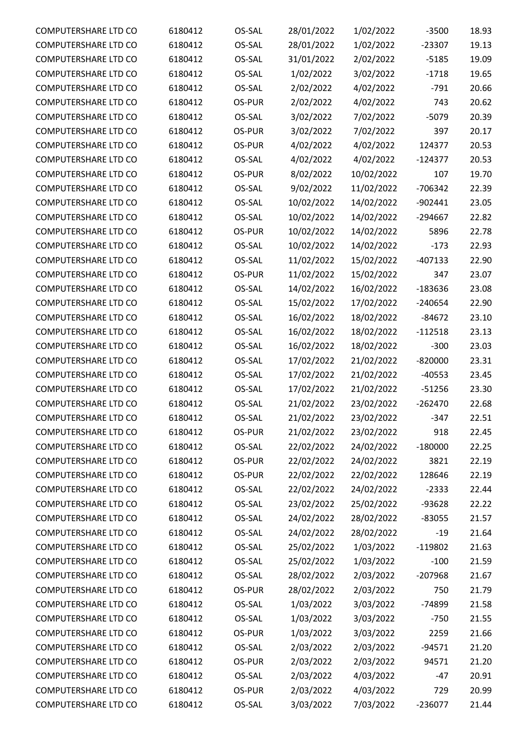| COMPUTERSHARE LTD CO        | 6180412 | OS-SAL | 28/01/2022 | 1/02/2022  | $-3500$   | 18.93 |
|-----------------------------|---------|--------|------------|------------|-----------|-------|
| COMPUTERSHARE LTD CO        | 6180412 | OS-SAL | 28/01/2022 | 1/02/2022  | $-23307$  | 19.13 |
| COMPUTERSHARE LTD CO        | 6180412 | OS-SAL | 31/01/2022 | 2/02/2022  | $-5185$   | 19.09 |
| COMPUTERSHARE LTD CO        | 6180412 | OS-SAL | 1/02/2022  | 3/02/2022  | $-1718$   | 19.65 |
| COMPUTERSHARE LTD CO        | 6180412 | OS-SAL | 2/02/2022  | 4/02/2022  | $-791$    | 20.66 |
| COMPUTERSHARE LTD CO        | 6180412 | OS-PUR | 2/02/2022  | 4/02/2022  | 743       | 20.62 |
| COMPUTERSHARE LTD CO        | 6180412 | OS-SAL | 3/02/2022  | 7/02/2022  | $-5079$   | 20.39 |
| COMPUTERSHARE LTD CO        | 6180412 | OS-PUR | 3/02/2022  | 7/02/2022  | 397       | 20.17 |
| COMPUTERSHARE LTD CO        | 6180412 | OS-PUR | 4/02/2022  | 4/02/2022  | 124377    | 20.53 |
| COMPUTERSHARE LTD CO        | 6180412 | OS-SAL | 4/02/2022  | 4/02/2022  | $-124377$ | 20.53 |
| COMPUTERSHARE LTD CO        | 6180412 | OS-PUR | 8/02/2022  | 10/02/2022 | 107       | 19.70 |
| COMPUTERSHARE LTD CO        | 6180412 | OS-SAL | 9/02/2022  | 11/02/2022 | $-706342$ | 22.39 |
| COMPUTERSHARE LTD CO        | 6180412 | OS-SAL | 10/02/2022 | 14/02/2022 | $-902441$ | 23.05 |
| <b>COMPUTERSHARE LTD CO</b> | 6180412 | OS-SAL | 10/02/2022 | 14/02/2022 | $-294667$ | 22.82 |
| COMPUTERSHARE LTD CO        | 6180412 | OS-PUR | 10/02/2022 | 14/02/2022 | 5896      | 22.78 |
| COMPUTERSHARE LTD CO        | 6180412 | OS-SAL | 10/02/2022 | 14/02/2022 | $-173$    | 22.93 |
| COMPUTERSHARE LTD CO        | 6180412 | OS-SAL | 11/02/2022 | 15/02/2022 | $-407133$ | 22.90 |
| COMPUTERSHARE LTD CO        | 6180412 | OS-PUR | 11/02/2022 | 15/02/2022 | 347       | 23.07 |
| COMPUTERSHARE LTD CO        | 6180412 | OS-SAL | 14/02/2022 | 16/02/2022 | $-183636$ | 23.08 |
| COMPUTERSHARE LTD CO        | 6180412 | OS-SAL | 15/02/2022 | 17/02/2022 | $-240654$ | 22.90 |
| COMPUTERSHARE LTD CO        | 6180412 | OS-SAL | 16/02/2022 | 18/02/2022 | $-84672$  | 23.10 |
| COMPUTERSHARE LTD CO        | 6180412 | OS-SAL | 16/02/2022 | 18/02/2022 | $-112518$ | 23.13 |
| COMPUTERSHARE LTD CO        | 6180412 | OS-SAL | 16/02/2022 | 18/02/2022 | $-300$    | 23.03 |
| COMPUTERSHARE LTD CO        | 6180412 | OS-SAL | 17/02/2022 | 21/02/2022 | $-820000$ | 23.31 |
| <b>COMPUTERSHARE LTD CO</b> | 6180412 | OS-SAL | 17/02/2022 | 21/02/2022 | $-40553$  | 23.45 |
| COMPUTERSHARE LTD CO        | 6180412 | OS-SAL | 17/02/2022 | 21/02/2022 | $-51256$  | 23.30 |
| <b>COMPUTERSHARE LTD CO</b> | 6180412 | OS-SAL | 21/02/2022 | 23/02/2022 | $-262470$ | 22.68 |
| COMPUTERSHARE LTD CO        | 6180412 | OS-SAL | 21/02/2022 | 23/02/2022 | $-347$    | 22.51 |
| COMPUTERSHARE LTD CO        | 6180412 | OS-PUR | 21/02/2022 | 23/02/2022 | 918       | 22.45 |
| COMPUTERSHARE LTD CO        | 6180412 | OS-SAL | 22/02/2022 |            | $-180000$ |       |
|                             |         | OS-PUR |            | 24/02/2022 |           | 22.25 |
| COMPUTERSHARE LTD CO        | 6180412 |        | 22/02/2022 | 24/02/2022 | 3821      | 22.19 |
| COMPUTERSHARE LTD CO        | 6180412 | OS-PUR | 22/02/2022 | 22/02/2022 | 128646    | 22.19 |
| COMPUTERSHARE LTD CO        | 6180412 | OS-SAL | 22/02/2022 | 24/02/2022 | $-2333$   | 22.44 |
| COMPUTERSHARE LTD CO        | 6180412 | OS-SAL | 23/02/2022 | 25/02/2022 | -93628    | 22.22 |
| COMPUTERSHARE LTD CO        | 6180412 | OS-SAL | 24/02/2022 | 28/02/2022 | $-83055$  | 21.57 |
| COMPUTERSHARE LTD CO        | 6180412 | OS-SAL | 24/02/2022 | 28/02/2022 | $-19$     | 21.64 |
| COMPUTERSHARE LTD CO        | 6180412 | OS-SAL | 25/02/2022 | 1/03/2022  | $-119802$ | 21.63 |
| COMPUTERSHARE LTD CO        | 6180412 | OS-SAL | 25/02/2022 | 1/03/2022  | $-100$    | 21.59 |
| COMPUTERSHARE LTD CO        | 6180412 | OS-SAL | 28/02/2022 | 2/03/2022  | $-207968$ | 21.67 |
| COMPUTERSHARE LTD CO        | 6180412 | OS-PUR | 28/02/2022 | 2/03/2022  | 750       | 21.79 |
| COMPUTERSHARE LTD CO        | 6180412 | OS-SAL | 1/03/2022  | 3/03/2022  | -74899    | 21.58 |
| COMPUTERSHARE LTD CO        | 6180412 | OS-SAL | 1/03/2022  | 3/03/2022  | $-750$    | 21.55 |
| COMPUTERSHARE LTD CO        | 6180412 | OS-PUR | 1/03/2022  | 3/03/2022  | 2259      | 21.66 |
| COMPUTERSHARE LTD CO        | 6180412 | OS-SAL | 2/03/2022  | 2/03/2022  | $-94571$  | 21.20 |
| COMPUTERSHARE LTD CO        | 6180412 | OS-PUR | 2/03/2022  | 2/03/2022  | 94571     | 21.20 |
| COMPUTERSHARE LTD CO        | 6180412 | OS-SAL | 2/03/2022  | 4/03/2022  | $-47$     | 20.91 |
| COMPUTERSHARE LTD CO        | 6180412 | OS-PUR | 2/03/2022  | 4/03/2022  | 729       | 20.99 |
| COMPUTERSHARE LTD CO        | 6180412 | OS-SAL | 3/03/2022  | 7/03/2022  | $-236077$ | 21.44 |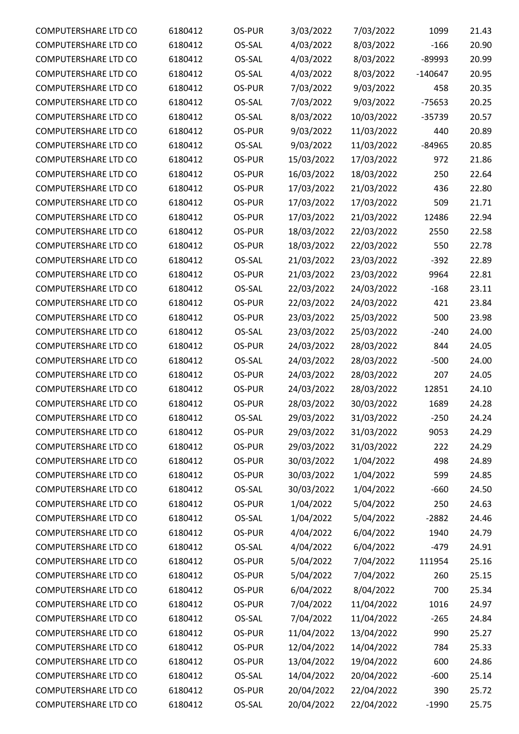| COMPUTERSHARE LTD CO        | 6180412 | OS-PUR | 3/03/2022  | 7/03/2022  | 1099      | 21.43 |
|-----------------------------|---------|--------|------------|------------|-----------|-------|
| <b>COMPUTERSHARE LTD CO</b> | 6180412 | OS-SAL | 4/03/2022  | 8/03/2022  | $-166$    | 20.90 |
| <b>COMPUTERSHARE LTD CO</b> | 6180412 | OS-SAL | 4/03/2022  | 8/03/2022  | $-89993$  | 20.99 |
| COMPUTERSHARE LTD CO        | 6180412 | OS-SAL | 4/03/2022  | 8/03/2022  | $-140647$ | 20.95 |
| COMPUTERSHARE LTD CO        | 6180412 | OS-PUR | 7/03/2022  | 9/03/2022  | 458       | 20.35 |
| <b>COMPUTERSHARE LTD CO</b> | 6180412 | OS-SAL | 7/03/2022  | 9/03/2022  | $-75653$  | 20.25 |
| COMPUTERSHARE LTD CO        | 6180412 | OS-SAL | 8/03/2022  | 10/03/2022 | $-35739$  | 20.57 |
| COMPUTERSHARE LTD CO        | 6180412 | OS-PUR | 9/03/2022  | 11/03/2022 | 440       | 20.89 |
| <b>COMPUTERSHARE LTD CO</b> | 6180412 | OS-SAL | 9/03/2022  | 11/03/2022 | $-84965$  | 20.85 |
| COMPUTERSHARE LTD CO        | 6180412 | OS-PUR | 15/03/2022 | 17/03/2022 | 972       | 21.86 |
| <b>COMPUTERSHARE LTD CO</b> | 6180412 | OS-PUR | 16/03/2022 | 18/03/2022 | 250       | 22.64 |
| COMPUTERSHARE LTD CO        | 6180412 | OS-PUR | 17/03/2022 | 21/03/2022 | 436       | 22.80 |
| <b>COMPUTERSHARE LTD CO</b> | 6180412 | OS-PUR | 17/03/2022 | 17/03/2022 | 509       | 21.71 |
| <b>COMPUTERSHARE LTD CO</b> | 6180412 | OS-PUR | 17/03/2022 | 21/03/2022 | 12486     | 22.94 |
| COMPUTERSHARE LTD CO        | 6180412 | OS-PUR | 18/03/2022 | 22/03/2022 | 2550      | 22.58 |
| COMPUTERSHARE LTD CO        | 6180412 | OS-PUR | 18/03/2022 | 22/03/2022 | 550       | 22.78 |
| <b>COMPUTERSHARE LTD CO</b> | 6180412 | OS-SAL | 21/03/2022 | 23/03/2022 | $-392$    | 22.89 |
| <b>COMPUTERSHARE LTD CO</b> | 6180412 | OS-PUR | 21/03/2022 | 23/03/2022 | 9964      | 22.81 |
| <b>COMPUTERSHARE LTD CO</b> | 6180412 | OS-SAL | 22/03/2022 | 24/03/2022 | $-168$    | 23.11 |
| COMPUTERSHARE LTD CO        | 6180412 | OS-PUR | 22/03/2022 | 24/03/2022 | 421       | 23.84 |
| <b>COMPUTERSHARE LTD CO</b> |         | OS-PUR |            |            | 500       | 23.98 |
|                             | 6180412 |        | 23/03/2022 | 25/03/2022 |           |       |
| <b>COMPUTERSHARE LTD CO</b> | 6180412 | OS-SAL | 23/03/2022 | 25/03/2022 | $-240$    | 24.00 |
| COMPUTERSHARE LTD CO        | 6180412 | OS-PUR | 24/03/2022 | 28/03/2022 | 844       | 24.05 |
| COMPUTERSHARE LTD CO        | 6180412 | OS-SAL | 24/03/2022 | 28/03/2022 | $-500$    | 24.00 |
| <b>COMPUTERSHARE LTD CO</b> | 6180412 | OS-PUR | 24/03/2022 | 28/03/2022 | 207       | 24.05 |
| COMPUTERSHARE LTD CO        | 6180412 | OS-PUR | 24/03/2022 | 28/03/2022 | 12851     | 24.10 |
| <b>COMPUTERSHARE LTD CO</b> | 6180412 | OS-PUR | 28/03/2022 | 30/03/2022 | 1689      | 24.28 |
| COMPUTERSHARE LTD CO        | 6180412 | OS-SAL | 29/03/2022 | 31/03/2022 | $-250$    | 24.24 |
| <b>COMPUTERSHARE LTD CO</b> | 6180412 | OS-PUR | 29/03/2022 | 31/03/2022 | 9053      | 24.29 |
| COMPUTERSHARE LTD CO        | 6180412 | OS-PUR | 29/03/2022 | 31/03/2022 | 222       | 24.29 |
| <b>COMPUTERSHARE LTD CO</b> | 6180412 | OS-PUR | 30/03/2022 | 1/04/2022  | 498       | 24.89 |
| COMPUTERSHARE LTD CO        | 6180412 | OS-PUR | 30/03/2022 | 1/04/2022  | 599       | 24.85 |
| COMPUTERSHARE LTD CO        | 6180412 | OS-SAL | 30/03/2022 | 1/04/2022  | $-660$    | 24.50 |
| COMPUTERSHARE LTD CO        | 6180412 | OS-PUR | 1/04/2022  | 5/04/2022  | 250       | 24.63 |
| COMPUTERSHARE LTD CO        | 6180412 | OS-SAL | 1/04/2022  | 5/04/2022  | $-2882$   | 24.46 |
| COMPUTERSHARE LTD CO        | 6180412 | OS-PUR | 4/04/2022  | 6/04/2022  | 1940      | 24.79 |
| COMPUTERSHARE LTD CO        | 6180412 | OS-SAL | 4/04/2022  | 6/04/2022  | $-479$    | 24.91 |
| COMPUTERSHARE LTD CO        | 6180412 | OS-PUR | 5/04/2022  | 7/04/2022  | 111954    | 25.16 |
| COMPUTERSHARE LTD CO        | 6180412 | OS-PUR | 5/04/2022  | 7/04/2022  | 260       | 25.15 |
| COMPUTERSHARE LTD CO        | 6180412 | OS-PUR | 6/04/2022  | 8/04/2022  | 700       | 25.34 |
| COMPUTERSHARE LTD CO        | 6180412 | OS-PUR | 7/04/2022  | 11/04/2022 | 1016      | 24.97 |
| COMPUTERSHARE LTD CO        | 6180412 | OS-SAL | 7/04/2022  | 11/04/2022 | $-265$    | 24.84 |
| COMPUTERSHARE LTD CO        | 6180412 | OS-PUR | 11/04/2022 | 13/04/2022 | 990       | 25.27 |
| COMPUTERSHARE LTD CO        | 6180412 | OS-PUR | 12/04/2022 | 14/04/2022 | 784       | 25.33 |
| <b>COMPUTERSHARE LTD CO</b> | 6180412 | OS-PUR | 13/04/2022 | 19/04/2022 | 600       | 24.86 |
| COMPUTERSHARE LTD CO        | 6180412 | OS-SAL | 14/04/2022 | 20/04/2022 | $-600$    | 25.14 |
| COMPUTERSHARE LTD CO        | 6180412 | OS-PUR | 20/04/2022 | 22/04/2022 | 390       | 25.72 |
| COMPUTERSHARE LTD CO        | 6180412 | OS-SAL | 20/04/2022 | 22/04/2022 | $-1990$   | 25.75 |
|                             |         |        |            |            |           |       |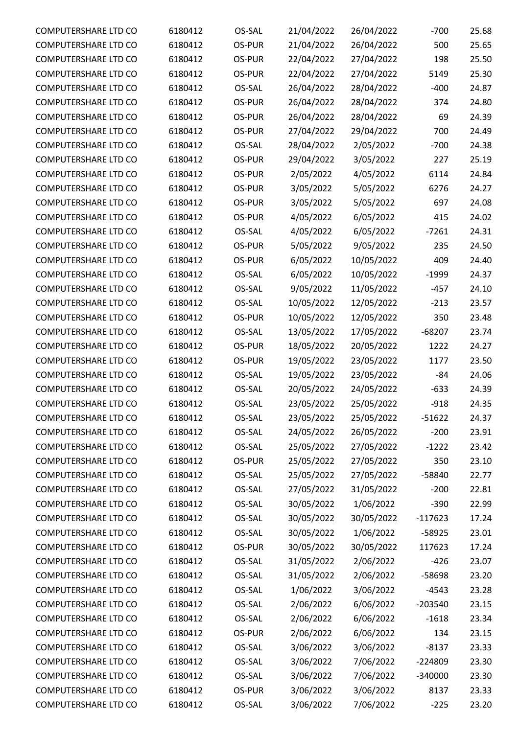| COMPUTERSHARE LTD CO                         | 6180412 | OS-SAL | 21/04/2022 | 26/04/2022 | $-700$    | 25.68 |
|----------------------------------------------|---------|--------|------------|------------|-----------|-------|
| COMPUTERSHARE LTD CO                         | 6180412 | OS-PUR | 21/04/2022 | 26/04/2022 | 500       | 25.65 |
| COMPUTERSHARE LTD CO                         | 6180412 | OS-PUR | 22/04/2022 | 27/04/2022 | 198       | 25.50 |
| COMPUTERSHARE LTD CO                         | 6180412 | OS-PUR | 22/04/2022 | 27/04/2022 | 5149      | 25.30 |
| <b>COMPUTERSHARE LTD CO</b>                  | 6180412 | OS-SAL | 26/04/2022 | 28/04/2022 | $-400$    | 24.87 |
| <b>COMPUTERSHARE LTD CO</b>                  | 6180412 | OS-PUR | 26/04/2022 | 28/04/2022 | 374       | 24.80 |
| COMPUTERSHARE LTD CO                         | 6180412 | OS-PUR | 26/04/2022 | 28/04/2022 | 69        | 24.39 |
| COMPUTERSHARE LTD CO                         | 6180412 | OS-PUR | 27/04/2022 | 29/04/2022 | 700       | 24.49 |
| <b>COMPUTERSHARE LTD CO</b>                  | 6180412 | OS-SAL | 28/04/2022 | 2/05/2022  | $-700$    | 24.38 |
| COMPUTERSHARE LTD CO                         | 6180412 | OS-PUR | 29/04/2022 | 3/05/2022  | 227       | 25.19 |
| <b>COMPUTERSHARE LTD CO</b>                  | 6180412 | OS-PUR | 2/05/2022  | 4/05/2022  | 6114      | 24.84 |
| COMPUTERSHARE LTD CO                         | 6180412 | OS-PUR | 3/05/2022  | 5/05/2022  | 6276      | 24.27 |
| <b>COMPUTERSHARE LTD CO</b>                  | 6180412 | OS-PUR | 3/05/2022  | 5/05/2022  | 697       | 24.08 |
| <b>COMPUTERSHARE LTD CO</b>                  | 6180412 | OS-PUR | 4/05/2022  | 6/05/2022  | 415       | 24.02 |
| COMPUTERSHARE LTD CO                         | 6180412 | OS-SAL | 4/05/2022  | 6/05/2022  | $-7261$   | 24.31 |
| COMPUTERSHARE LTD CO                         | 6180412 | OS-PUR | 5/05/2022  | 9/05/2022  | 235       | 24.50 |
| <b>COMPUTERSHARE LTD CO</b>                  | 6180412 | OS-PUR | 6/05/2022  | 10/05/2022 | 409       | 24.40 |
| COMPUTERSHARE LTD CO                         | 6180412 | OS-SAL | 6/05/2022  | 10/05/2022 | $-1999$   | 24.37 |
| <b>COMPUTERSHARE LTD CO</b>                  | 6180412 | OS-SAL | 9/05/2022  | 11/05/2022 | $-457$    | 24.10 |
| COMPUTERSHARE LTD CO                         | 6180412 | OS-SAL | 10/05/2022 | 12/05/2022 | $-213$    | 23.57 |
| COMPUTERSHARE LTD CO                         | 6180412 | OS-PUR | 10/05/2022 | 12/05/2022 | 350       | 23.48 |
| <b>COMPUTERSHARE LTD CO</b>                  | 6180412 | OS-SAL | 13/05/2022 | 17/05/2022 | $-68207$  | 23.74 |
| COMPUTERSHARE LTD CO                         | 6180412 | OS-PUR | 18/05/2022 | 20/05/2022 | 1222      | 24.27 |
| COMPUTERSHARE LTD CO                         | 6180412 | OS-PUR | 19/05/2022 | 23/05/2022 | 1177      | 23.50 |
| <b>COMPUTERSHARE LTD CO</b>                  | 6180412 | OS-SAL | 19/05/2022 | 23/05/2022 | $-84$     | 24.06 |
| COMPUTERSHARE LTD CO                         | 6180412 | OS-SAL | 20/05/2022 | 24/05/2022 | $-633$    | 24.39 |
| <b>COMPUTERSHARE LTD CO</b>                  | 6180412 | OS-SAL | 23/05/2022 | 25/05/2022 | $-918$    | 24.35 |
| COMPUTERSHARE LTD CO                         | 6180412 | OS-SAL | 23/05/2022 | 25/05/2022 | $-51622$  | 24.37 |
| <b>COMPUTERSHARE LTD CO</b>                  | 6180412 | OS-SAL | 24/05/2022 | 26/05/2022 | $-200$    | 23.91 |
| COMPUTERSHARE LTD CO                         | 6180412 | OS-SAL | 25/05/2022 | 27/05/2022 | $-1222$   | 23.42 |
| COMPUTERSHARE LTD CO                         | 6180412 | OS-PUR | 25/05/2022 | 27/05/2022 | 350       | 23.10 |
| COMPUTERSHARE LTD CO                         |         |        | 25/05/2022 |            |           | 22.77 |
|                                              | 6180412 | OS-SAL |            | 27/05/2022 | -58840    |       |
| COMPUTERSHARE LTD CO                         | 6180412 | OS-SAL | 27/05/2022 | 31/05/2022 | $-200$    | 22.81 |
| COMPUTERSHARE LTD CO<br>COMPUTERSHARE LTD CO | 6180412 | OS-SAL | 30/05/2022 | 1/06/2022  | $-390$    | 22.99 |
|                                              | 6180412 | OS-SAL | 30/05/2022 | 30/05/2022 | $-117623$ | 17.24 |
| COMPUTERSHARE LTD CO                         | 6180412 | OS-SAL | 30/05/2022 | 1/06/2022  | -58925    | 23.01 |
| COMPUTERSHARE LTD CO                         | 6180412 | OS-PUR | 30/05/2022 | 30/05/2022 | 117623    | 17.24 |
| COMPUTERSHARE LTD CO                         | 6180412 | OS-SAL | 31/05/2022 | 2/06/2022  | $-426$    | 23.07 |
| COMPUTERSHARE LTD CO                         | 6180412 | OS-SAL | 31/05/2022 | 2/06/2022  | -58698    | 23.20 |
| COMPUTERSHARE LTD CO                         | 6180412 | OS-SAL | 1/06/2022  | 3/06/2022  | $-4543$   | 23.28 |
| COMPUTERSHARE LTD CO                         | 6180412 | OS-SAL | 2/06/2022  | 6/06/2022  | $-203540$ | 23.15 |
| COMPUTERSHARE LTD CO                         | 6180412 | OS-SAL | 2/06/2022  | 6/06/2022  | $-1618$   | 23.34 |
| COMPUTERSHARE LTD CO                         | 6180412 | OS-PUR | 2/06/2022  | 6/06/2022  | 134       | 23.15 |
| COMPUTERSHARE LTD CO                         | 6180412 | OS-SAL | 3/06/2022  | 3/06/2022  | $-8137$   | 23.33 |
| COMPUTERSHARE LTD CO                         | 6180412 | OS-SAL | 3/06/2022  | 7/06/2022  | $-224809$ | 23.30 |
| COMPUTERSHARE LTD CO                         | 6180412 | OS-SAL | 3/06/2022  | 7/06/2022  | $-340000$ | 23.30 |
| COMPUTERSHARE LTD CO                         | 6180412 | OS-PUR | 3/06/2022  | 3/06/2022  | 8137      | 23.33 |
| COMPUTERSHARE LTD CO                         | 6180412 | OS-SAL | 3/06/2022  | 7/06/2022  | $-225$    | 23.20 |